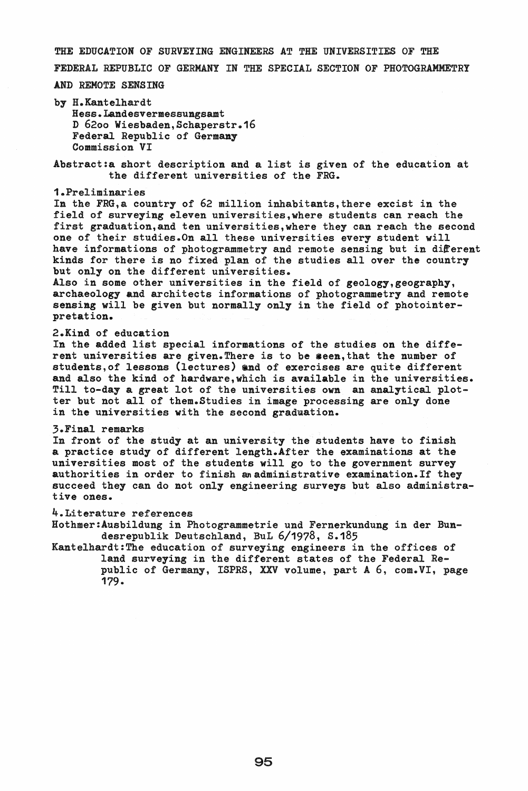THE EDUCATION OF SURVEYING ENGINEERS AT THE UNIVERSITIES OF THE

FEDERAL REPUBLIC OF GERMANY IN THE SPECIAL SECTION OF PHOTOGRAMMETRI

#### AND REMOTE SENSING

by H.Kantelhardt Hess. Landesvermessungsamt D 6200 Wiesbaden,Schaperstr.16 Federal Republic of Germany Commission VI

Abstract:a short description and a list is given of the education at the different universities of the FRG.

## 1.Preliminaries

In the FRG, a country of 62 million inhabitants, there excist in the field of surveying eleven universities,where students can reach the first graduation, and ten universities, where they can reach the second one of their studies.On all these universities every student will have informations of photogrammetry and remote sensing but in different kinds for there is no fixed plan of the studies allover the country but only on the different universities.

Also in some other universities in the field of geology,geography, archaeology and architects informations of photogrammetry and remote sensing will be given but normally only in the field of photointerpretation.

# 2.Kind of education

In the added list special informations of the studies on the different universities are given. There is to be seen, that the number of students,of lessons (lectures) and of exercises are quite different and also the kind of hardware,which is available in the universities. Till to-day a great lot of the universities own an analytical plotter but not all of them. Studies in image processing are only done in the universities with the second graduation.

### 3.Final remarks

In front of the study at an university the students have to finish a practice study of different length.After the examinations at the universities most of the students will go to the government survey authorities in order to finish an administrative examination. If they succeed they can do not only engineering surveys but also administrative ones.

### 4.Literature references

Hothmer:Ausbildung in Photogrammetrie und Fernerkundung in der Bundesrepublik Deutschland, BuL 6/1978, s.185

Kantelhardt:The education of surveying engineers in the offices of land surveying in the different states of the Federal Republic of Germany, ISPRS, XXV volume, part A 6, com.VI, page 179.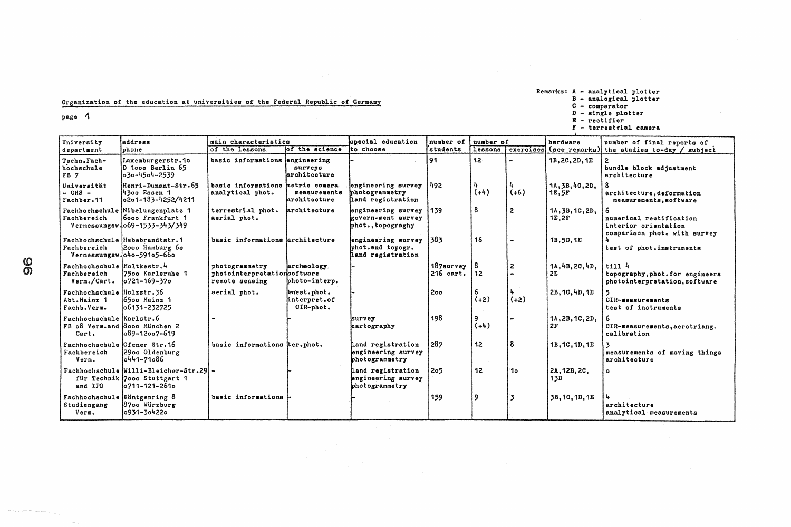Remarks: A - analytical plotter<br>
B - analogical plotter<br>
C - comparator<br>
D - single plotter<br>
E - rectifier<br>
F - terrestrial camera

| University                                               | address                                                                                 | main characteristics                                            |                                          | special education                                                | number of                     | number of   |                | hardware                  | number of final reports of                                                      |
|----------------------------------------------------------|-----------------------------------------------------------------------------------------|-----------------------------------------------------------------|------------------------------------------|------------------------------------------------------------------|-------------------------------|-------------|----------------|---------------------------|---------------------------------------------------------------------------------|
| department                                               | phone                                                                                   | of the lessons                                                  | of the science                           | to choose                                                        | students                      | lessons     |                | exercises (see remarks)   | the studies to-day / subject                                                    |
| Techn. Fach-<br>hochschule<br>FB 7                       | Luxemburgerstr.10<br>D 1000 Berlin 65<br>030-4504-2539                                  | basic informations engineering                                  | surveys<br>architecture                  |                                                                  | 91                            | 12          |                | 1B, 2C, 2D, 1E            | bundle block adjustment<br>architecture                                         |
| Universität<br>$-$ GHS $-$<br>Fachber.11                 | Henri-Dunant-Str.65<br>14300 Essen 1<br>0201-183-4252/4211                              | basic informations metric camera<br>analytical phot.            | measurements<br>architecture             | engineering survey 492<br>photogrammetry<br>land registration    |                               | $(+4)$      | $(+6)$         | 1A, 3B, 4C, 2D,<br>1E, 5F | architecture, deformation<br>measurements, software                             |
| Fachbereich                                              | Fachhochschule Nibelungenplatz 1<br>16000 Frankfurt 1<br>Vermessungsw 069-1533-343/349  | terrestrial phot.<br>aerial phot.                               | larchitecture                            | engineering survey<br>govern-ment survey<br>phot., topograghy    | 1139                          | 8           | $\overline{c}$ | 1A, 3B, 1C, 2D,<br>1E, 2F | numerical rectification<br>interior orientation<br>comparison phot. with survey |
| Fachbereich                                              | Fachhochschule Hebebrandtstr.1<br>2000 Hamburg 60<br>Vermessungsw 040-59105-660         | basic informations architecture                                 |                                          | engineering survey 383<br>phot.and topogr.<br>land registration  |                               | 16          |                | 1B, 5D, 1E                | test of phot.instruments                                                        |
| Fachhochschule Moltkestr.4<br>Fachbereich<br>Verm./Cart. | 7500 Karlsruhe 1<br>$ 0721 - 169 - 370 $                                                | photogrammetry<br>photointerpretationsoftware<br>remote sensing | archeology<br>bhoto-interp.              |                                                                  | 187survey<br>$216$ cart. $12$ |             | $\overline{2}$ | 1A, 4B, 2C, 4D,<br>2E     | t1114<br>topography, phot. for engineers<br>photointerpretation, software       |
| Fachhochschule Holzstr.36<br>Abt.Mainz 1<br>Fachb.Verm.  | 6500 Mainz 1<br>06131-232725                                                            | aerial phot.                                                    | enest.phot.<br>interpret.of<br>CIR-phot. |                                                                  | 200                           | $(+2)$      | $(+2)$         | 2B, 1C, 4D, 1E            | CIR-measurements<br>test of instruments                                         |
| Fachhochschule Karlstr.6<br>Cart.                        | FB o8 Verm. and Booo München 2<br>089-12007-619                                         |                                                                 |                                          | survey<br>cartography                                            | 198                           | 9<br>$(+4)$ |                | 1A, 2B, 1C, 2D,<br>2F     | CIR-measurements, aerotriang.<br>calibration                                    |
| Fachbereich<br>Verm.                                     | Fachhochschule Ofener Str.16<br>2900 Oldenburg<br>10441-71086                           | basic informations ter.phot.                                    |                                          | Land registration<br>engineering survey<br>photogrammetry        | 287                           | 12          | 8              | 1B, 1C, 1D, 1E            | measurements of moving things<br>architecture                                   |
| and IPO                                                  | Fachhochschule Willi-Bleicher-Str.29 -<br>für Technik 7000 Stuttgart 1<br>0711-121-2610 |                                                                 |                                          | <b>Land registration</b><br>engineering survey<br>photogrammetry | 205                           | 12          | 10             | 2A, 12B, 2C,<br>13D       | $\bullet$                                                                       |
| Studiengang<br>Verm.                                     | Fachhochschule Röntgenring 8<br>8700 Würzburg<br>0931-304220                            | basic informations                                              |                                          |                                                                  | 159                           | 9           | 13             | 3B, 1C, 1D, 1E            | architecture<br>analytical measurements                                         |

## Organization of the education at universities of the Federal Republic of Germany

page 1